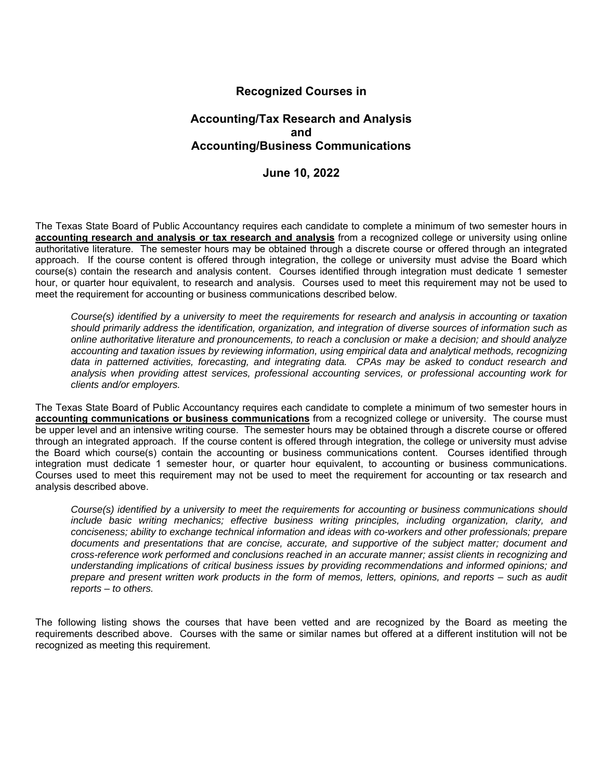## **Recognized Courses in**

## **Accounting/Tax Research and Analysis and Accounting/Business Communications**

## **June 10, 2022**

The Texas State Board of Public Accountancy requires each candidate to complete a minimum of two semester hours in **accounting research and analysis or tax research and analysis** from a recognized college or university using online authoritative literature. The semester hours may be obtained through a discrete course or offered through an integrated approach. If the course content is offered through integration, the college or university must advise the Board which course(s) contain the research and analysis content. Courses identified through integration must dedicate 1 semester hour, or quarter hour equivalent, to research and analysis. Courses used to meet this requirement may not be used to meet the requirement for accounting or business communications described below.

*Course(s) identified by a university to meet the requirements for research and analysis in accounting or taxation should primarily address the identification, organization, and integration of diverse sources of information such as online authoritative literature and pronouncements, to reach a conclusion or make a decision; and should analyze accounting and taxation issues by reviewing information, using empirical data and analytical methods, recognizing data in patterned activities, forecasting, and integrating data. CPAs may be asked to conduct research and analysis when providing attest services, professional accounting services, or professional accounting work for clients and/or employers.* 

The Texas State Board of Public Accountancy requires each candidate to complete a minimum of two semester hours in **accounting communications or business communications** from a recognized college or university. The course must be upper level and an intensive writing course. The semester hours may be obtained through a discrete course or offered through an integrated approach. If the course content is offered through integration, the college or university must advise the Board which course(s) contain the accounting or business communications content. Courses identified through integration must dedicate 1 semester hour, or quarter hour equivalent, to accounting or business communications. Courses used to meet this requirement may not be used to meet the requirement for accounting or tax research and analysis described above.

*Course(s) identified by a university to meet the requirements for accounting or business communications should include basic writing mechanics; effective business writing principles, including organization, clarity, and conciseness; ability to exchange technical information and ideas with co-workers and other professionals; prepare documents and presentations that are concise, accurate, and supportive of the subject matter; document and cross-reference work performed and conclusions reached in an accurate manner; assist clients in recognizing and understanding implications of critical business issues by providing recommendations and informed opinions; and prepare and present written work products in the form of memos, letters, opinions, and reports – such as audit reports – to others.* 

The following listing shows the courses that have been vetted and are recognized by the Board as meeting the requirements described above. Courses with the same or similar names but offered at a different institution will not be recognized as meeting this requirement.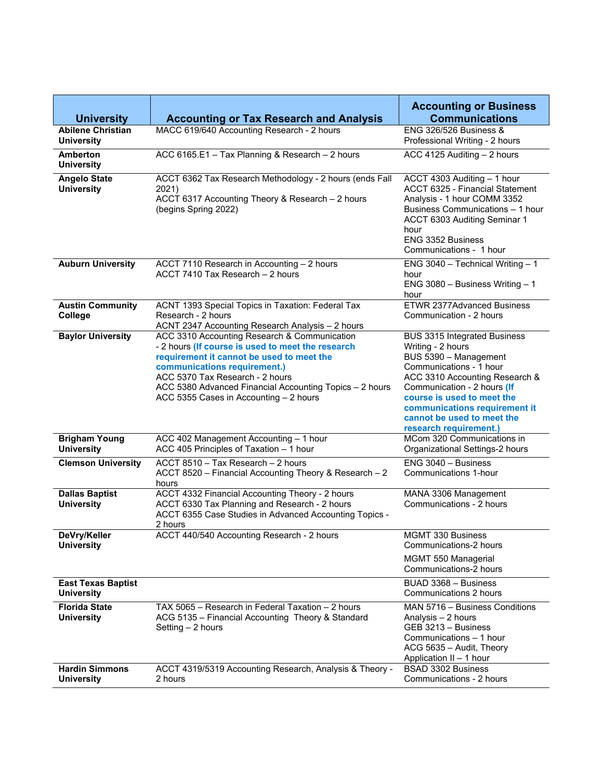| <b>University</b>                              | <b>Accounting or Tax Research and Analysis</b>                                                                                                                                                                                                                                                                         | <b>Accounting or Business</b><br><b>Communications</b>                                                                                                                                                                                                                                        |
|------------------------------------------------|------------------------------------------------------------------------------------------------------------------------------------------------------------------------------------------------------------------------------------------------------------------------------------------------------------------------|-----------------------------------------------------------------------------------------------------------------------------------------------------------------------------------------------------------------------------------------------------------------------------------------------|
| <b>Abilene Christian</b><br><b>University</b>  | MACC 619/640 Accounting Research - 2 hours                                                                                                                                                                                                                                                                             | <b>ENG 326/526 Business &amp;</b><br>Professional Writing - 2 hours                                                                                                                                                                                                                           |
| <b>Amberton</b><br><b>University</b>           | ACC 6165.E1 - Tax Planning & Research - 2 hours                                                                                                                                                                                                                                                                        | ACC 4125 Auditing - 2 hours                                                                                                                                                                                                                                                                   |
| <b>Angelo State</b><br><b>University</b>       | ACCT 6362 Tax Research Methodology - 2 hours (ends Fall<br>2021)<br>ACCT 6317 Accounting Theory & Research - 2 hours<br>(begins Spring 2022)                                                                                                                                                                           | ACCT 4303 Auditing - 1 hour<br><b>ACCT 6325 - Financial Statement</b><br>Analysis - 1 hour COMM 3352<br>Business Communications - 1 hour<br>ACCT 6303 Auditing Seminar 1<br>hour<br><b>ENG 3352 Business</b><br>Communications - 1 hour                                                       |
| <b>Auburn University</b>                       | ACCT 7110 Research in Accounting - 2 hours<br>ACCT 7410 Tax Research - 2 hours                                                                                                                                                                                                                                         | ENG $3040$ - Technical Writing - 1<br>hour<br>ENG 3080 - Business Writing - 1<br>hour                                                                                                                                                                                                         |
| <b>Austin Community</b><br>College             | ACNT 1393 Special Topics in Taxation: Federal Tax<br>Research - 2 hours<br>ACNT 2347 Accounting Research Analysis - 2 hours                                                                                                                                                                                            | <b>ETWR 2377Advanced Business</b><br>Communication - 2 hours                                                                                                                                                                                                                                  |
| <b>Baylor University</b>                       | ACC 3310 Accounting Research & Communication<br>- 2 hours (If course is used to meet the research<br>requirement it cannot be used to meet the<br>communications requirement.)<br>ACC 5370 Tax Research - 2 hours<br>ACC 5380 Advanced Financial Accounting Topics - 2 hours<br>ACC 5355 Cases in Accounting - 2 hours | BUS 3315 Integrated Business<br>Writing - 2 hours<br>BUS 5390 - Management<br>Communications - 1 hour<br>ACC 3310 Accounting Research &<br>Communication - 2 hours (If<br>course is used to meet the<br>communications requirement it<br>cannot be used to meet the<br>research requirement.) |
| <b>Brigham Young</b><br><b>University</b>      | ACC 402 Management Accounting - 1 hour<br>ACC 405 Principles of Taxation - 1 hour                                                                                                                                                                                                                                      | MCom 320 Communications in<br>Organizational Settings-2 hours                                                                                                                                                                                                                                 |
| <b>Clemson University</b>                      | ACCT 8510 - Tax Research - 2 hours<br>ACCT 8520 - Financial Accounting Theory & Research - 2<br>hours                                                                                                                                                                                                                  | ENG 3040 - Business<br>Communications 1-hour                                                                                                                                                                                                                                                  |
| <b>Dallas Baptist</b><br><b>University</b>     | ACCT 4332 Financial Accounting Theory - 2 hours<br>ACCT 6330 Tax Planning and Research - 2 hours<br>ACCT 6355 Case Studies in Advanced Accounting Topics -<br>2 hours                                                                                                                                                  | MANA 3306 Management<br>Communications - 2 hours                                                                                                                                                                                                                                              |
| DeVry/Keller<br><b>University</b>              | ACCT 440/540 Accounting Research - 2 hours                                                                                                                                                                                                                                                                             | MGMT 330 Business<br>Communications-2 hours<br>MGMT 550 Managerial<br>Communications-2 hours                                                                                                                                                                                                  |
| <b>East Texas Baptist</b><br><b>University</b> |                                                                                                                                                                                                                                                                                                                        | BUAD 3368 - Business<br>Communications 2 hours                                                                                                                                                                                                                                                |
| <b>Florida State</b><br><b>University</b>      | TAX 5065 - Research in Federal Taxation - 2 hours<br>ACG 5135 - Financial Accounting Theory & Standard<br>Setting $-2$ hours                                                                                                                                                                                           | MAN 5716 - Business Conditions<br>Analysis - 2 hours<br>GEB 3213 - Business<br>Communications - 1 hour<br>ACG 5635 - Audit, Theory<br>Application II - 1 hour                                                                                                                                 |
| <b>Hardin Simmons</b><br><b>University</b>     | ACCT 4319/5319 Accounting Research, Analysis & Theory -<br>2 hours                                                                                                                                                                                                                                                     | BSAD 3302 Business<br>Communications - 2 hours                                                                                                                                                                                                                                                |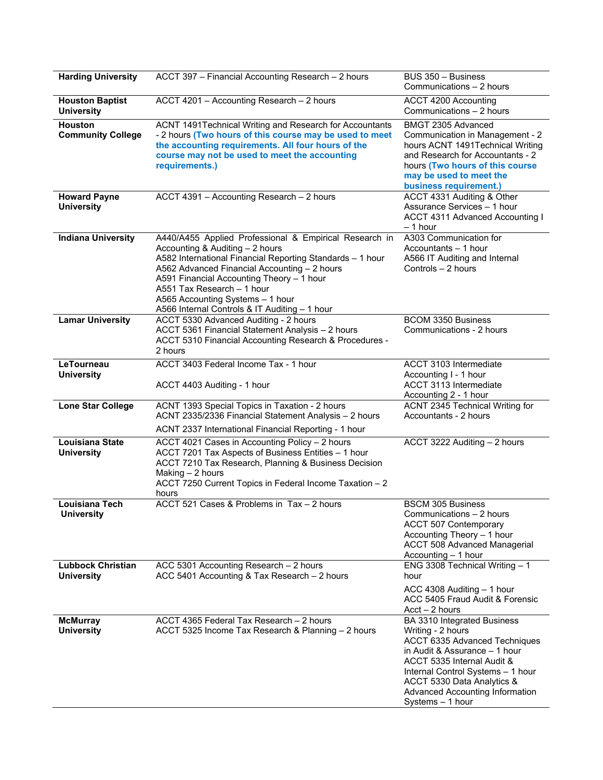| <b>Harding University</b>                     | ACCT 397 - Financial Accounting Research - 2 hours                                                                                                                                                                                                                                                                                                                     | $BUS \overline{350 - Business}$<br>Communications - 2 hours                                                                                                                                                                                                                |
|-----------------------------------------------|------------------------------------------------------------------------------------------------------------------------------------------------------------------------------------------------------------------------------------------------------------------------------------------------------------------------------------------------------------------------|----------------------------------------------------------------------------------------------------------------------------------------------------------------------------------------------------------------------------------------------------------------------------|
| <b>Houston Baptist</b><br><b>University</b>   | ACCT 4201 - Accounting Research - 2 hours                                                                                                                                                                                                                                                                                                                              | ACCT 4200 Accounting<br>Communications - 2 hours                                                                                                                                                                                                                           |
| Houston<br><b>Community College</b>           | ACNT 1491Technical Writing and Research for Accountants<br>- 2 hours (Two hours of this course may be used to meet<br>the accounting requirements. All four hours of the<br>course may not be used to meet the accounting<br>requirements.)                                                                                                                            | BMGT 2305 Advanced<br>Communication in Management - 2<br>hours ACNT 1491Technical Writing<br>and Research for Accountants - 2<br>hours (Two hours of this course<br>may be used to meet the<br>business requirement.)                                                      |
| <b>Howard Payne</b><br><b>University</b>      | ACCT 4391 - Accounting Research - 2 hours                                                                                                                                                                                                                                                                                                                              | ACCT 4331 Auditing & Other<br>Assurance Services - 1 hour<br><b>ACCT 4311 Advanced Accounting I</b><br>$-1$ hour                                                                                                                                                           |
| <b>Indiana University</b>                     | A440/A455 Applied Professional & Empirical Research in<br>Accounting & Auditing - 2 hours<br>A582 International Financial Reporting Standards - 1 hour<br>A562 Advanced Financial Accounting - 2 hours<br>A591 Financial Accounting Theory - 1 hour<br>A551 Tax Research - 1 hour<br>A565 Accounting Systems - 1 hour<br>A566 Internal Controls & IT Auditing - 1 hour | A303 Communication for<br>Accountants - 1 hour<br>A566 IT Auditing and Internal<br>Controls - 2 hours                                                                                                                                                                      |
| <b>Lamar University</b>                       | ACCT 5330 Advanced Auditing - 2 hours<br>ACCT 5361 Financial Statement Analysis - 2 hours<br>ACCT 5310 Financial Accounting Research & Procedures -<br>2 hours                                                                                                                                                                                                         | <b>BCOM 3350 Business</b><br>Communications - 2 hours                                                                                                                                                                                                                      |
| LeTourneau<br><b>University</b>               | ACCT 3403 Federal Income Tax - 1 hour<br>ACCT 4403 Auditing - 1 hour                                                                                                                                                                                                                                                                                                   | ACCT 3103 Intermediate<br>Accounting I - 1 hour<br>ACCT 3113 Intermediate<br>Accounting 2 - 1 hour                                                                                                                                                                         |
| <b>Lone Star College</b>                      | ACNT 1393 Special Topics in Taxation - 2 hours<br>ACNT 2335/2336 Financial Statement Analysis - 2 hours                                                                                                                                                                                                                                                                | ACNT 2345 Technical Writing for<br>Accountants - 2 hours                                                                                                                                                                                                                   |
| <b>Louisiana State</b><br><b>University</b>   | ACNT 2337 International Financial Reporting - 1 hour<br>ACCT 4021 Cases in Accounting Policy - 2 hours<br>ACCT 7201 Tax Aspects of Business Entities - 1 hour<br>ACCT 7210 Tax Research, Planning & Business Decision<br>Making - 2 hours<br>ACCT 7250 Current Topics in Federal Income Taxation - 2<br>hours                                                          | ACCT 3222 Auditing - 2 hours                                                                                                                                                                                                                                               |
| <b>Louisiana Tech</b><br>University           | ACCT 521 Cases & Problems in Tax - 2 hours                                                                                                                                                                                                                                                                                                                             | <b>BSCM 305 Business</b><br>Communications – 2 hours<br><b>ACCT 507 Contemporary</b><br>Accounting Theory - 1 hour<br><b>ACCT 508 Advanced Managerial</b><br>Accounting - 1 hour                                                                                           |
| <b>Lubbock Christian</b><br><b>University</b> | ACC 5301 Accounting Research - 2 hours<br>ACC 5401 Accounting & Tax Research - 2 hours                                                                                                                                                                                                                                                                                 | ENG 3308 Technical Writing $-1$<br>hour<br>ACC 4308 Auditing - 1 hour<br>ACC 5405 Fraud Audit & Forensic<br>$Acct - 2 hours$                                                                                                                                               |
| <b>McMurray</b><br><b>University</b>          | ACCT 4365 Federal Tax Research - 2 hours<br>ACCT 5325 Income Tax Research & Planning - 2 hours                                                                                                                                                                                                                                                                         | BA 3310 Integrated Business<br>Writing - 2 hours<br>ACCT 6335 Advanced Techniques<br>in Audit & Assurance - 1 hour<br>ACCT 5335 Internal Audit &<br>Internal Control Systems - 1 hour<br>ACCT 5330 Data Analytics &<br>Advanced Accounting Information<br>Systems - 1 hour |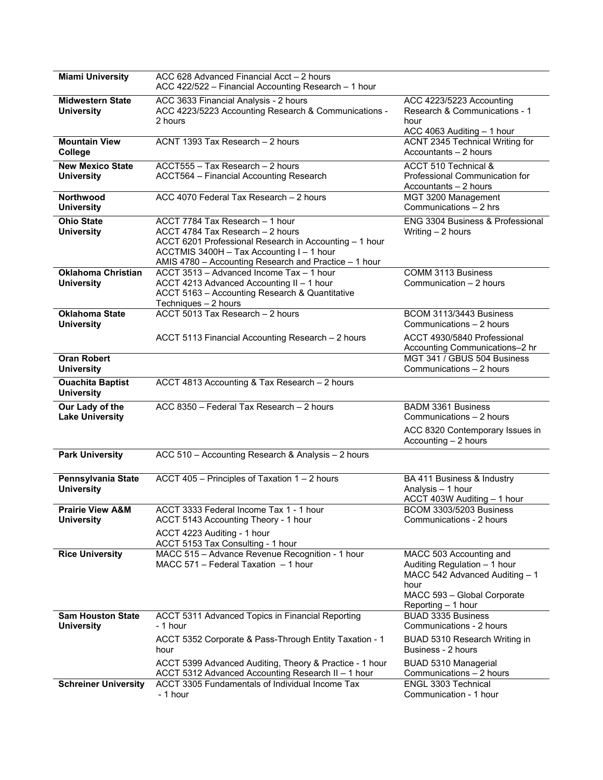| <b>Miami University</b>                          | ACC 628 Advanced Financial Acct - 2 hours<br>ACC 422/522 - Financial Accounting Research - 1 hour                                                                                                                                   |                                                                                                                                                        |
|--------------------------------------------------|-------------------------------------------------------------------------------------------------------------------------------------------------------------------------------------------------------------------------------------|--------------------------------------------------------------------------------------------------------------------------------------------------------|
| <b>Midwestern State</b><br><b>University</b>     | ACC 3633 Financial Analysis - 2 hours<br>ACC 4223/5223 Accounting Research & Communications -<br>2 hours                                                                                                                            | ACC 4223/5223 Accounting<br>Research & Communications - 1<br>hour<br>ACC 4063 Auditing - 1 hour                                                        |
| <b>Mountain View</b><br>College                  | ACNT 1393 Tax Research - 2 hours                                                                                                                                                                                                    | ACNT 2345 Technical Writing for<br>Accountants - 2 hours                                                                                               |
| <b>New Mexico State</b><br><b>University</b>     | ACCT555 - Tax Research - 2 hours<br>ACCT564 - Financial Accounting Research                                                                                                                                                         | ACCT 510 Technical &<br>Professional Communication for<br>Accountants - 2 hours                                                                        |
| <b>Northwood</b><br><b>University</b>            | ACC 4070 Federal Tax Research - 2 hours                                                                                                                                                                                             | MGT 3200 Management<br>Communications - 2 hrs                                                                                                          |
| <b>Ohio State</b><br><b>University</b>           | ACCT 7784 Tax Research - 1 hour<br>ACCT 4784 Tax Research - 2 hours<br>ACCT 6201 Professional Research in Accounting - 1 hour<br>ACCTMIS 3400H - Tax Accounting I - 1 hour<br>AMIS 4780 - Accounting Research and Practice - 1 hour | ENG 3304 Business & Professional<br>Writing - 2 hours                                                                                                  |
| <b>Oklahoma Christian</b><br><b>University</b>   | ACCT 3513 - Advanced Income Tax - 1 hour<br>ACCT 4213 Advanced Accounting II - 1 hour<br>ACCT 5163 - Accounting Research & Quantitative<br>Techniques - 2 hours                                                                     | <b>COMM 3113 Business</b><br>Communication - 2 hours                                                                                                   |
| <b>Oklahoma State</b><br><b>University</b>       | ACCT 5013 Tax Research - 2 hours                                                                                                                                                                                                    | BCOM 3113/3443 Business<br>Communications - 2 hours                                                                                                    |
|                                                  | ACCT 5113 Financial Accounting Research - 2 hours                                                                                                                                                                                   | ACCT 4930/5840 Professional<br>Accounting Communications-2 hr                                                                                          |
| <b>Oran Robert</b><br><b>University</b>          |                                                                                                                                                                                                                                     | MGT 341 / GBUS 504 Business<br>Communications - 2 hours                                                                                                |
| <b>Ouachita Baptist</b><br><b>University</b>     | ACCT 4813 Accounting & Tax Research - 2 hours                                                                                                                                                                                       |                                                                                                                                                        |
| Our Lady of the<br><b>Lake University</b>        | ACC 8350 - Federal Tax Research - 2 hours                                                                                                                                                                                           | <b>BADM 3361 Business</b><br>Communications - 2 hours<br>ACC 8320 Contemporary Issues in                                                               |
| <b>Park University</b>                           | ACC 510 - Accounting Research & Analysis - 2 hours                                                                                                                                                                                  | Accounting $-2$ hours                                                                                                                                  |
|                                                  |                                                                                                                                                                                                                                     |                                                                                                                                                        |
| Pennsylvania State<br><b>University</b>          | ACCT 405 - Principles of Taxation 1 - 2 hours                                                                                                                                                                                       | BA 411 Business & Industry<br>Analysis - 1 hour<br>ACCT 403W Auditing - 1 hour                                                                         |
| <b>Prairie View A&amp;M</b><br><b>University</b> | ACCT 3333 Federal Income Tax 1 - 1 hour<br>ACCT 5143 Accounting Theory - 1 hour<br>ACCT 4223 Auditing - 1 hour<br>ACCT 5153 Tax Consulting - 1 hour                                                                                 | BCOM 3303/5203 Business<br>Communications - 2 hours                                                                                                    |
| <b>Rice University</b>                           | MACC 515 - Advance Revenue Recognition - 1 hour<br>MACC 571 - Federal Taxation - 1 hour                                                                                                                                             | MACC 503 Accounting and<br>Auditing Regulation - 1 hour<br>MACC 542 Advanced Auditing - 1<br>hour<br>MACC 593 - Global Corporate<br>Reporting - 1 hour |
| <b>Sam Houston State</b><br><b>University</b>    | ACCT 5311 Advanced Topics in Financial Reporting<br>- 1 hour                                                                                                                                                                        | <b>BUAD 3335 Business</b><br>Communications - 2 hours                                                                                                  |
|                                                  | ACCT 5352 Corporate & Pass-Through Entity Taxation - 1<br>hour                                                                                                                                                                      | BUAD 5310 Research Writing in<br>Business - 2 hours                                                                                                    |
|                                                  | ACCT 5399 Advanced Auditing, Theory & Practice - 1 hour<br>ACCT 5312 Advanced Accounting Research II - 1 hour                                                                                                                       | BUAD 5310 Managerial<br>Communications - 2 hours                                                                                                       |
| <b>Schreiner University</b>                      | ACCT 3305 Fundamentals of Individual Income Tax<br>- 1 hour                                                                                                                                                                         | ENGL 3303 Technical<br>Communication - 1 hour                                                                                                          |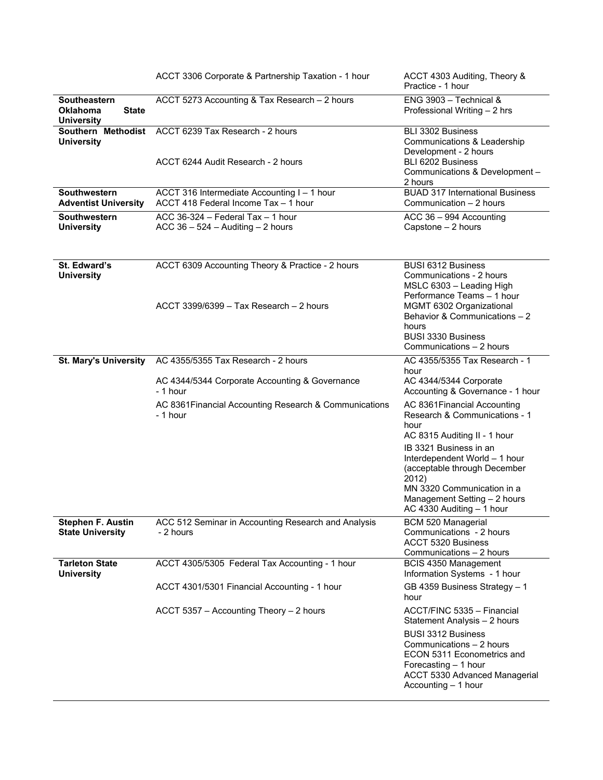|                                                                      | ACCT 3306 Corporate & Partnership Taxation - 1 hour                                           | ACCT 4303 Auditing, Theory &<br>Practice - 1 hour                                                                                                                                                                                                                                                    |
|----------------------------------------------------------------------|-----------------------------------------------------------------------------------------------|------------------------------------------------------------------------------------------------------------------------------------------------------------------------------------------------------------------------------------------------------------------------------------------------------|
| Southeastern<br><b>Oklahoma</b><br><b>State</b><br><b>University</b> | ACCT 5273 Accounting & Tax Research - 2 hours                                                 | $ENG$ 3903 - Technical &<br>Professional Writing - 2 hrs                                                                                                                                                                                                                                             |
| Southern Methodist<br><b>University</b>                              | ACCT 6239 Tax Research - 2 hours<br>ACCT 6244 Audit Research - 2 hours                        | BLI 3302 Business<br>Communications & Leadership<br>Development - 2 hours<br>BLI 6202 Business<br>Communications & Development -<br>2 hours                                                                                                                                                          |
| <b>Southwestern</b><br><b>Adventist University</b>                   | ACCT 316 Intermediate Accounting I - 1 hour<br>ACCT 418 Federal Income Tax - 1 hour           | <b>BUAD 317 International Business</b><br>Communication - 2 hours                                                                                                                                                                                                                                    |
| Southwestern<br><b>University</b>                                    | ACC 36-324 - Federal Tax - 1 hour<br>ACC $36 - 524 -$ Auditing $- 2$ hours                    | ACC 36 - 994 Accounting<br>Capstone - 2 hours                                                                                                                                                                                                                                                        |
| St. Edward's<br><b>University</b>                                    | ACCT 6309 Accounting Theory & Practice - 2 hours<br>$ACCT$ 3399/6399 – Tax Research – 2 hours | <b>BUSI 6312 Business</b><br>Communications - 2 hours<br>MSLC 6303 - Leading High<br>Performance Teams - 1 hour<br>MGMT 6302 Organizational<br>Behavior & Communications - 2<br>hours<br><b>BUSI 3330 Business</b><br>Communications - 2 hours                                                       |
| <b>St. Mary's University</b>                                         | AC 4355/5355 Tax Research - 2 hours                                                           | AC 4355/5355 Tax Research - 1                                                                                                                                                                                                                                                                        |
|                                                                      | AC 4344/5344 Corporate Accounting & Governance<br>- 1 hour                                    | hour<br>AC 4344/5344 Corporate<br>Accounting & Governance - 1 hour                                                                                                                                                                                                                                   |
|                                                                      | AC 8361 Financial Accounting Research & Communications<br>- 1 hour                            | AC 8361 Financial Accounting<br>Research & Communications - 1<br>hour<br>AC 8315 Auditing II - 1 hour<br>IB 3321 Business in an<br>Interdependent World - 1 hour<br>(acceptable through December<br>2012)<br>MN 3320 Communication in a<br>Management Setting - 2 hours<br>AC 4330 Auditing - 1 hour |
| <b>Stephen F. Austin</b><br><b>State University</b>                  | ACC 512 Seminar in Accounting Research and Analysis<br>- 2 hours                              | <b>BCM 520 Managerial</b><br>Communications - 2 hours<br><b>ACCT 5320 Business</b><br>Communications - 2 hours                                                                                                                                                                                       |
| <b>Tarleton State</b><br><b>University</b>                           | ACCT 4305/5305 Federal Tax Accounting - 1 hour                                                | BCIS 4350 Management<br>Information Systems - 1 hour                                                                                                                                                                                                                                                 |
|                                                                      | ACCT 4301/5301 Financial Accounting - 1 hour                                                  | GB 4359 Business Strategy - 1<br>hour                                                                                                                                                                                                                                                                |
|                                                                      | ACCT 5357 - Accounting Theory - 2 hours                                                       | ACCT/FINC 5335 - Financial<br>Statement Analysis - 2 hours                                                                                                                                                                                                                                           |
|                                                                      |                                                                                               | <b>BUSI 3312 Business</b><br>Communications - 2 hours<br>ECON 5311 Econometrics and<br>Forecasting - 1 hour<br>ACCT 5330 Advanced Managerial<br>Accounting - 1 hour                                                                                                                                  |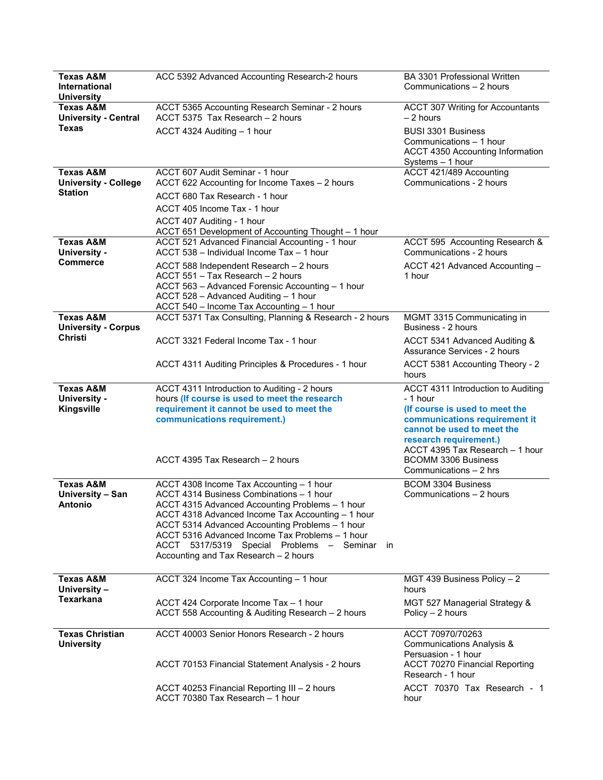| <b>Texas A&amp;M</b><br>International<br><b>University</b> | ACC 5392 Advanced Accounting Research-2 hours                                                                                                                                                                                                                                                                                                                                               | BA 3301 Professional Written<br>Communications - 2 hours                                                     |
|------------------------------------------------------------|---------------------------------------------------------------------------------------------------------------------------------------------------------------------------------------------------------------------------------------------------------------------------------------------------------------------------------------------------------------------------------------------|--------------------------------------------------------------------------------------------------------------|
| <b>Texas A&amp;M</b><br><b>University - Central</b>        | ACCT 5365 Accounting Research Seminar - 2 hours<br>ACCT 5375 Tax Research - 2 hours                                                                                                                                                                                                                                                                                                         | <b>ACCT 307 Writing for Accountants</b><br>$-2$ hours                                                        |
| Texas                                                      | ACCT 4324 Auditing - 1 hour                                                                                                                                                                                                                                                                                                                                                                 | <b>BUSI 3301 Business</b><br>Communications - 1 hour<br>ACCT 4350 Accounting Information<br>Systems - 1 hour |
| <b>Texas A&amp;M</b><br><b>University - College</b>        | ACCT 607 Audit Seminar - 1 hour<br>ACCT 622 Accounting for Income Taxes - 2 hours                                                                                                                                                                                                                                                                                                           | ACCT 421/489 Accounting<br>Communications - 2 hours                                                          |
| <b>Station</b>                                             | ACCT 680 Tax Research - 1 hour                                                                                                                                                                                                                                                                                                                                                              |                                                                                                              |
|                                                            | ACCT 405 Income Tax - 1 hour                                                                                                                                                                                                                                                                                                                                                                |                                                                                                              |
|                                                            | ACCT 407 Auditing - 1 hour<br>ACCT 651 Development of Accounting Thought - 1 hour                                                                                                                                                                                                                                                                                                           |                                                                                                              |
| <b>Texas A&amp;M</b><br><b>University -</b>                | ACCT 521 Advanced Financial Accounting - 1 hour<br>ACCT 538 - Individual Income Tax - 1 hour                                                                                                                                                                                                                                                                                                | ACCT 595 Accounting Research &<br>Communications - 2 hours                                                   |
| <b>Commerce</b>                                            | ACCT 588 Independent Research - 2 hours<br>ACCT 551 - Tax Research - 2 hours<br>ACCT 563 - Advanced Forensic Accounting - 1 hour<br>ACCT 528 - Advanced Auditing - 1 hour                                                                                                                                                                                                                   | ACCT 421 Advanced Accounting -<br>1 hour                                                                     |
| <b>Texas A&amp;M</b>                                       | ACCT 540 - Income Tax Accounting - 1 hour<br>ACCT 5371 Tax Consulting, Planning & Research - 2 hours                                                                                                                                                                                                                                                                                        | MGMT 3315 Communicating in                                                                                   |
| <b>University - Corpus</b>                                 |                                                                                                                                                                                                                                                                                                                                                                                             | Business - 2 hours                                                                                           |
| Christi                                                    | ACCT 3321 Federal Income Tax - 1 hour                                                                                                                                                                                                                                                                                                                                                       | ACCT 5341 Advanced Auditing &<br>Assurance Services - 2 hours                                                |
|                                                            | ACCT 4311 Auditing Principles & Procedures - 1 hour                                                                                                                                                                                                                                                                                                                                         | ACCT 5381 Accounting Theory - 2<br>hours                                                                     |
| <b>Texas A&amp;M</b>                                       | ACCT 4311 Introduction to Auditing - 2 hours                                                                                                                                                                                                                                                                                                                                                | ACCT 4311 Introduction to Auditing                                                                           |
| <b>University -</b><br>Kingsville                          | hours (If course is used to meet the research<br>requirement it cannot be used to meet the                                                                                                                                                                                                                                                                                                  | - 1 hour<br>(If course is used to meet the                                                                   |
|                                                            | communications requirement.)                                                                                                                                                                                                                                                                                                                                                                | communications requirement it<br>cannot be used to meet the<br>research requirement.)                        |
|                                                            | ACCT 4395 Tax Research - 2 hours                                                                                                                                                                                                                                                                                                                                                            | ACCT 4395 Tax Research - 1 hour<br><b>BCOMM 3306 Business</b><br>Communications - 2 hrs                      |
| <b>Texas A&amp;M</b><br>University - San<br><b>Antonio</b> | ACCT 4308 Income Tax Accounting - 1 hour<br>ACCT 4314 Business Combinations - 1 hour<br>ACCT 4315 Advanced Accounting Problems - 1 hour<br>ACCT 4318 Advanced Income Tax Accounting - 1 hour<br>ACCT 5314 Advanced Accounting Problems - 1 hour<br>ACCT 5316 Advanced Income Tax Problems - 1 hour<br>ACCT 5317/5319 Special Problems - Seminar in<br>Accounting and Tax Research - 2 hours | <b>BCOM 3304 Business</b><br>Communications - 2 hours                                                        |
| <b>Texas A&amp;M</b><br>University -                       | ACCT 324 Income Tax Accounting - 1 hour                                                                                                                                                                                                                                                                                                                                                     | MGT 439 Business Policy - 2<br>hours                                                                         |
| <b>Texarkana</b>                                           | ACCT 424 Corporate Income Tax - 1 hour<br>ACCT 558 Accounting & Auditing Research - 2 hours                                                                                                                                                                                                                                                                                                 | MGT 527 Managerial Strategy &<br>Policy - 2 hours                                                            |
| <b>Texas Christian</b><br><b>University</b>                | ACCT 40003 Senior Honors Research - 2 hours                                                                                                                                                                                                                                                                                                                                                 | ACCT 70970/70263<br>Communications Analysis &<br>Persuasion - 1 hour                                         |
|                                                            | ACCT 70153 Financial Statement Analysis - 2 hours                                                                                                                                                                                                                                                                                                                                           | <b>ACCT 70270 Financial Reporting</b><br>Research - 1 hour                                                   |
|                                                            | ACCT 40253 Financial Reporting III - 2 hours<br>ACCT 70380 Tax Research - 1 hour                                                                                                                                                                                                                                                                                                            | ACCT 70370 Tax Research - 1<br>hour                                                                          |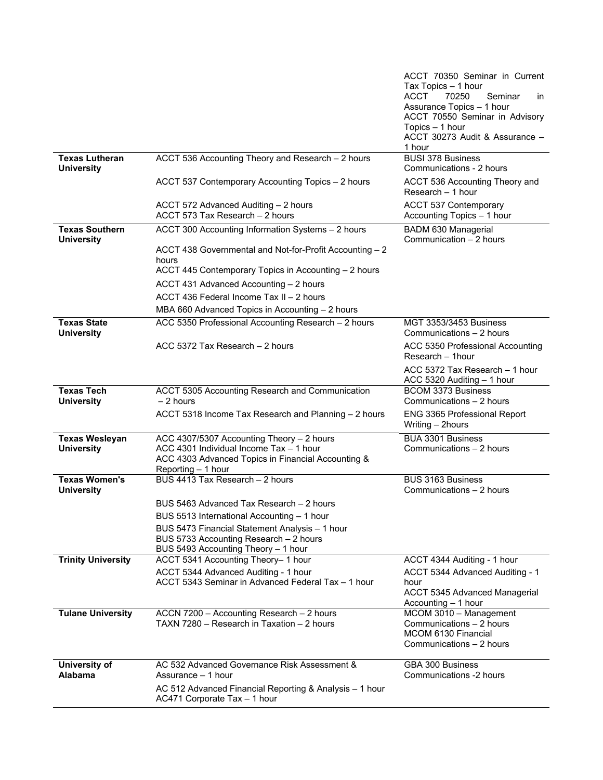|                                            |                                                                                                                                                                  | ACCT 70350 Seminar in Current<br>Tax Topics - 1 hour<br><b>ACCT</b><br>70250<br>Seminar<br><i>in</i><br>Assurance Topics - 1 hour<br>ACCT 70550 Seminar in Advisory<br>Topics - 1 hour<br>ACCT 30273 Audit & Assurance - |
|--------------------------------------------|------------------------------------------------------------------------------------------------------------------------------------------------------------------|--------------------------------------------------------------------------------------------------------------------------------------------------------------------------------------------------------------------------|
| <b>Texas Lutheran</b><br><b>University</b> | ACCT 536 Accounting Theory and Research - 2 hours                                                                                                                | 1 hour<br><b>BUSI 378 Business</b><br>Communications - 2 hours                                                                                                                                                           |
|                                            | ACCT 537 Contemporary Accounting Topics - 2 hours                                                                                                                | ACCT 536 Accounting Theory and<br>Research - 1 hour                                                                                                                                                                      |
|                                            | ACCT 572 Advanced Auditing - 2 hours<br>ACCT 573 Tax Research - 2 hours                                                                                          | <b>ACCT 537 Contemporary</b><br>Accounting Topics - 1 hour                                                                                                                                                               |
| <b>Texas Southern</b><br><b>University</b> | ACCT 300 Accounting Information Systems - 2 hours                                                                                                                | <b>BADM 630 Managerial</b><br>Communication - 2 hours                                                                                                                                                                    |
|                                            | ACCT 438 Governmental and Not-for-Profit Accounting - 2<br>hours                                                                                                 |                                                                                                                                                                                                                          |
|                                            | ACCT 445 Contemporary Topics in Accounting - 2 hours                                                                                                             |                                                                                                                                                                                                                          |
|                                            | ACCT 431 Advanced Accounting - 2 hours                                                                                                                           |                                                                                                                                                                                                                          |
|                                            | ACCT 436 Federal Income Tax II - 2 hours                                                                                                                         |                                                                                                                                                                                                                          |
|                                            | MBA 660 Advanced Topics in Accounting - 2 hours                                                                                                                  |                                                                                                                                                                                                                          |
| <b>Texas State</b><br><b>University</b>    | ACC 5350 Professional Accounting Research - 2 hours                                                                                                              | <b>MGT 3353/3453 Business</b><br>Communications - 2 hours                                                                                                                                                                |
|                                            | ACC 5372 Tax Research - 2 hours                                                                                                                                  | ACC 5350 Professional Accounting<br>Research - 1hour                                                                                                                                                                     |
|                                            |                                                                                                                                                                  | ACC 5372 Tax Research - 1 hour<br>ACC 5320 Auditing - 1 hour                                                                                                                                                             |
| <b>Texas Tech</b><br><b>University</b>     | ACCT 5305 Accounting Research and Communication<br>$-2$ hours                                                                                                    | <b>BCOM 3373 Business</b><br>Communications - 2 hours                                                                                                                                                                    |
|                                            | ACCT 5318 Income Tax Research and Planning - 2 hours                                                                                                             | ENG 3365 Professional Report<br>Writing - 2hours                                                                                                                                                                         |
| <b>Texas Wesleyan</b><br><b>University</b> | ACC 4307/5307 Accounting Theory - 2 hours<br>ACC 4301 Individual Income Tax - 1 hour<br>ACC 4303 Advanced Topics in Financial Accounting &<br>Reporting - 1 hour | BUA 3301 Business<br>Communications - 2 hours                                                                                                                                                                            |
| <b>Texas Women's</b><br><b>University</b>  | BUS 4413 Tax Research - 2 hours                                                                                                                                  | <b>BUS 3163 Business</b><br>Communications - 2 hours                                                                                                                                                                     |
|                                            | BUS 5463 Advanced Tax Research – 2 hours                                                                                                                         |                                                                                                                                                                                                                          |
|                                            | BUS 5513 International Accounting - 1 hour                                                                                                                       |                                                                                                                                                                                                                          |
|                                            | BUS 5473 Financial Statement Analysis - 1 hour<br>BUS 5733 Accounting Research - 2 hours                                                                         |                                                                                                                                                                                                                          |
|                                            | BUS 5493 Accounting Theory - 1 hour                                                                                                                              |                                                                                                                                                                                                                          |
| <b>Trinity University</b>                  | ACCT 5341 Accounting Theory-1 hour                                                                                                                               | ACCT 4344 Auditing - 1 hour                                                                                                                                                                                              |
|                                            | ACCT 5344 Advanced Auditing - 1 hour<br>ACCT 5343 Seminar in Advanced Federal Tax - 1 hour                                                                       | ACCT 5344 Advanced Auditing - 1<br>hour                                                                                                                                                                                  |
|                                            |                                                                                                                                                                  | ACCT 5345 Advanced Managerial<br>Accounting - 1 hour                                                                                                                                                                     |
| <b>Tulane University</b>                   | ACCN 7200 - Accounting Research - 2 hours<br>TAXN 7280 - Research in Taxation - 2 hours                                                                          | MCOM 3010 - Management<br>Communications - 2 hours<br>MCOM 6130 Financial<br>Communications - 2 hours                                                                                                                    |
| University of<br>Alabama                   | AC 532 Advanced Governance Risk Assessment &<br>Assurance - 1 hour                                                                                               | GBA 300 Business<br>Communications -2 hours                                                                                                                                                                              |
|                                            | AC 512 Advanced Financial Reporting & Analysis - 1 hour<br>AC471 Corporate Tax - 1 hour                                                                          |                                                                                                                                                                                                                          |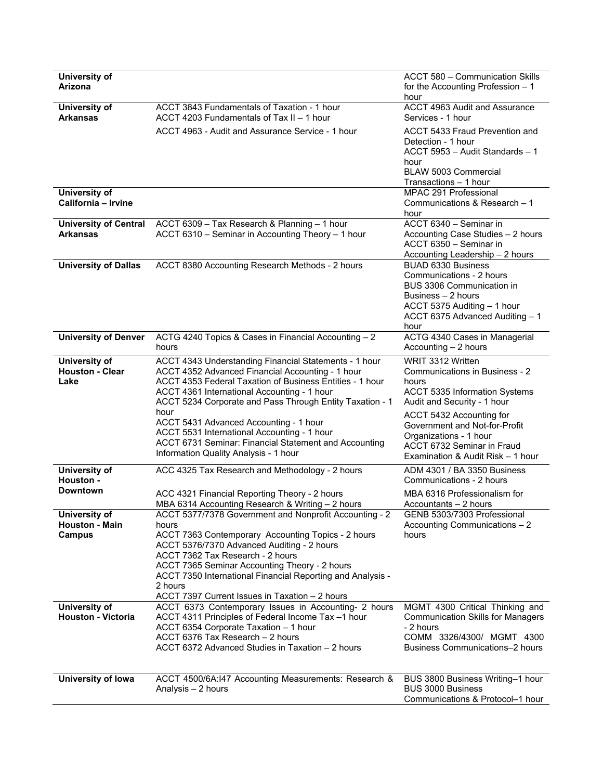| University of<br>Arizona                         |                                                                                                                                                                                                                                                                                                                                                                                     | ACCT 580 - Communication Skills<br>for the Accounting Profession $-1$<br>hour                                                                                                      |
|--------------------------------------------------|-------------------------------------------------------------------------------------------------------------------------------------------------------------------------------------------------------------------------------------------------------------------------------------------------------------------------------------------------------------------------------------|------------------------------------------------------------------------------------------------------------------------------------------------------------------------------------|
| University of<br>Arkansas                        | ACCT 3843 Fundamentals of Taxation - 1 hour<br>ACCT 4203 Fundamentals of Tax II - 1 hour                                                                                                                                                                                                                                                                                            | <b>ACCT 4963 Audit and Assurance</b><br>Services - 1 hour                                                                                                                          |
|                                                  | ACCT 4963 - Audit and Assurance Service - 1 hour                                                                                                                                                                                                                                                                                                                                    | ACCT 5433 Fraud Prevention and<br>Detection - 1 hour<br>ACCT 5953 - Audit Standards - 1<br>hour<br>BLAW 5003 Commercial<br>Transactions - 1 hour                                   |
| <b>University of</b><br>California - Irvine      |                                                                                                                                                                                                                                                                                                                                                                                     | MPAC 291 Professional<br>Communications & Research - 1<br>hour                                                                                                                     |
| <b>University of Central</b><br><b>Arkansas</b>  | ACCT 6309 - Tax Research & Planning - 1 hour<br>ACCT 6310 - Seminar in Accounting Theory - 1 hour                                                                                                                                                                                                                                                                                   | ACCT 6340 - Seminar in<br>Accounting Case Studies - 2 hours<br>ACCT 6350 - Seminar in<br>Accounting Leadership - 2 hours                                                           |
| <b>University of Dallas</b>                      | ACCT 8380 Accounting Research Methods - 2 hours                                                                                                                                                                                                                                                                                                                                     | <b>BUAD 6330 Business</b><br>Communications - 2 hours<br>BUS 3306 Communication in<br>Business - 2 hours<br>ACCT 5375 Auditing - 1 hour<br>ACCT 6375 Advanced Auditing - 1<br>hour |
| <b>University of Denver</b>                      | ACTG 4240 Topics & Cases in Financial Accounting - 2<br>hours                                                                                                                                                                                                                                                                                                                       | ACTG 4340 Cases in Managerial<br>Accounting - 2 hours                                                                                                                              |
| University of<br><b>Houston - Clear</b><br>Lake  | ACCT 4343 Understanding Financial Statements - 1 hour<br>ACCT 4352 Advanced Financial Accounting - 1 hour<br>ACCT 4353 Federal Taxation of Business Entities - 1 hour<br>ACCT 4361 International Accounting - 1 hour<br>ACCT 5234 Corporate and Pass Through Entity Taxation - 1<br>hour                                                                                            | WRIT 3312 Written<br>Communications in Business - 2<br>hours<br>ACCT 5335 Information Systems<br>Audit and Security - 1 hour                                                       |
|                                                  | ACCT 5431 Advanced Accounting - 1 hour<br>ACCT 5531 International Accounting - 1 hour<br>ACCT 6731 Seminar: Financial Statement and Accounting<br>Information Quality Analysis - 1 hour                                                                                                                                                                                             | ACCT 5432 Accounting for<br>Government and Not-for-Profit<br>Organizations - 1 hour<br>ACCT 6732 Seminar in Fraud<br>Examination & Audit Risk - 1 hour                             |
| University of<br>Houston -                       | ACC 4325 Tax Research and Methodology - 2 hours                                                                                                                                                                                                                                                                                                                                     | ADM 4301 / BA 3350 Business<br>Communications - 2 hours                                                                                                                            |
| <b>Downtown</b>                                  | ACC 4321 Financial Reporting Theory - 2 hours<br>MBA 6314 Accounting Research & Writing - 2 hours                                                                                                                                                                                                                                                                                   | MBA 6316 Professionalism for<br>Accountants - 2 hours                                                                                                                              |
| University of<br><b>Houston - Main</b><br>Campus | ACCT 5377/7378 Government and Nonprofit Accounting - 2<br>hours<br>ACCT 7363 Contemporary Accounting Topics - 2 hours<br>ACCT 5376/7370 Advanced Auditing - 2 hours<br>ACCT 7362 Tax Research - 2 hours<br>ACCT 7365 Seminar Accounting Theory - 2 hours<br>ACCT 7350 International Financial Reporting and Analysis -<br>2 hours<br>ACCT 7397 Current Issues in Taxation - 2 hours | GENB 5303/7303 Professional<br>Accounting Communications - 2<br>hours                                                                                                              |
| University of<br><b>Houston - Victoria</b>       | ACCT 6373 Contemporary Issues in Accounting- 2 hours<br>ACCT 4311 Principles of Federal Income Tax -1 hour<br>ACCT 6354 Corporate Taxation - 1 hour<br>ACCT 6376 Tax Research - 2 hours<br>ACCT 6372 Advanced Studies in Taxation - 2 hours                                                                                                                                         | MGMT 4300 Critical Thinking and<br><b>Communication Skills for Managers</b><br>- 2 hours<br>COMM 3326/4300/ MGMT 4300<br><b>Business Communications-2 hours</b>                    |
| University of lowa                               | ACCT 4500/6A:147 Accounting Measurements: Research &<br>Analysis $-2$ hours                                                                                                                                                                                                                                                                                                         | BUS 3800 Business Writing-1 hour<br><b>BUS 3000 Business</b><br>Communications & Protocol-1 hour                                                                                   |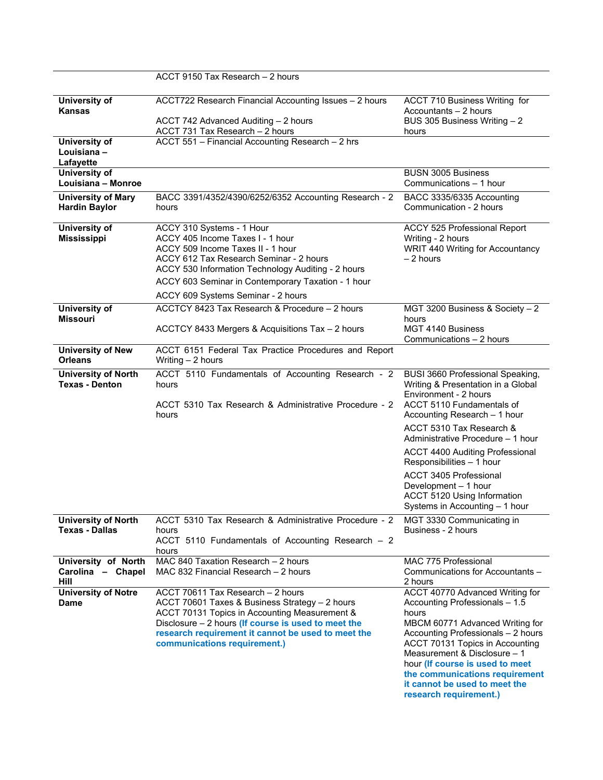|                                                     | ACCT 9150 Tax Research - 2 hours                                                                                                                                                                                                                                                                |                                                                                                                                                                                                                                                                                                                                                                                       |
|-----------------------------------------------------|-------------------------------------------------------------------------------------------------------------------------------------------------------------------------------------------------------------------------------------------------------------------------------------------------|---------------------------------------------------------------------------------------------------------------------------------------------------------------------------------------------------------------------------------------------------------------------------------------------------------------------------------------------------------------------------------------|
| University of<br>Kansas                             | ACCT722 Research Financial Accounting Issues - 2 hours<br>ACCT 742 Advanced Auditing - 2 hours<br>ACCT 731 Tax Research - 2 hours                                                                                                                                                               | ACCT 710 Business Writing for<br>Accountants - 2 hours<br>BUS 305 Business Writing - 2<br>hours                                                                                                                                                                                                                                                                                       |
| University of<br>Louisiana -<br>Lafayette           | ACCT 551 - Financial Accounting Research - 2 hrs                                                                                                                                                                                                                                                |                                                                                                                                                                                                                                                                                                                                                                                       |
| University of<br>Louisiana - Monroe                 |                                                                                                                                                                                                                                                                                                 | <b>BUSN 3005 Business</b><br>Communications - 1 hour                                                                                                                                                                                                                                                                                                                                  |
| <b>University of Mary</b><br><b>Hardin Baylor</b>   | BACC 3391/4352/4390/6252/6352 Accounting Research - 2<br>hours                                                                                                                                                                                                                                  | BACC 3335/6335 Accounting<br>Communication - 2 hours                                                                                                                                                                                                                                                                                                                                  |
| University of<br><b>Mississippi</b>                 | ACCY 310 Systems - 1 Hour<br>ACCY 405 Income Taxes I - 1 hour<br>ACCY 509 Income Taxes II - 1 hour<br>ACCY 612 Tax Research Seminar - 2 hours<br>ACCY 530 Information Technology Auditing - 2 hours<br>ACCY 603 Seminar in Contemporary Taxation - 1 hour<br>ACCY 609 Systems Seminar - 2 hours | ACCY 525 Professional Report<br>Writing - 2 hours<br>WRIT 440 Writing for Accountancy<br>$-2$ hours                                                                                                                                                                                                                                                                                   |
| University of<br>Missouri                           | ACCTCY 8423 Tax Research & Procedure - 2 hours<br>ACCTCY 8433 Mergers & Acquisitions Tax - 2 hours                                                                                                                                                                                              | MGT 3200 Business & Society - 2<br>hours<br>MGT 4140 Business<br>Communications - 2 hours                                                                                                                                                                                                                                                                                             |
| <b>University of New</b><br><b>Orleans</b>          | ACCT 6151 Federal Tax Practice Procedures and Report<br>Writing $-2$ hours                                                                                                                                                                                                                      |                                                                                                                                                                                                                                                                                                                                                                                       |
| <b>University of North</b><br><b>Texas - Denton</b> | ACCT 5110 Fundamentals of Accounting Research - 2<br>hours<br>ACCT 5310 Tax Research & Administrative Procedure - 2<br>hours                                                                                                                                                                    | <b>BUSI 3660 Professional Speaking,</b><br>Writing & Presentation in a Global<br>Environment - 2 hours<br>ACCT 5110 Fundamentals of<br>Accounting Research - 1 hour<br>ACCT 5310 Tax Research &<br>Administrative Procedure - 1 hour<br>ACCT 4400 Auditing Professional<br>Responsibilities - 1 hour<br>ACCT 3405 Professional<br>Development - 1 hour<br>ACCT 5120 Using Information |
|                                                     |                                                                                                                                                                                                                                                                                                 | Systems in Accounting - 1 hour                                                                                                                                                                                                                                                                                                                                                        |
| <b>University of North</b><br><b>Texas - Dallas</b> | ACCT 5310 Tax Research & Administrative Procedure - 2<br>hours<br>ACCT 5110 Fundamentals of Accounting Research - 2<br>hours                                                                                                                                                                    | MGT 3330 Communicating in<br>Business - 2 hours                                                                                                                                                                                                                                                                                                                                       |
| University of North<br>Carolina - Chapel<br>Hill    | MAC 840 Taxation Research - 2 hours<br>MAC 832 Financial Research - 2 hours                                                                                                                                                                                                                     | MAC 775 Professional<br>Communications for Accountants -<br>2 hours                                                                                                                                                                                                                                                                                                                   |
| <b>University of Notre</b><br>Dame                  | ACCT 70611 Tax Research - 2 hours<br>ACCT 70601 Taxes & Business Strategy - 2 hours<br>ACCT 70131 Topics in Accounting Measurement &<br>Disclosure $-2$ hours (If course is used to meet the<br>research requirement it cannot be used to meet the<br>communications requirement.)              | ACCT 40770 Advanced Writing for<br>Accounting Professionals - 1.5<br>hours<br>MBCM 60771 Advanced Writing for<br>Accounting Professionals - 2 hours<br>ACCT 70131 Topics in Accounting<br>Measurement & Disclosure - 1<br>hour (If course is used to meet<br>the communications requirement<br>it cannot be used to meet the<br>research requirement.)                                |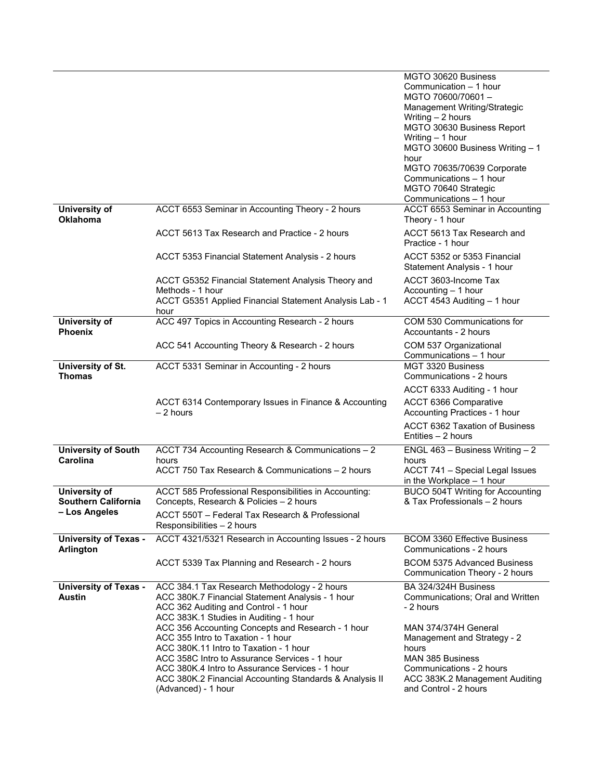| ACCT 6553 Seminar in Accounting Theory - 2 hours                                                                                                                                                                                                                                                                                                                                                                                                                                                                | MGTO 30620 Business<br>Communication - 1 hour<br>MGTO 70600/70601-<br>Management Writing/Strategic<br>Writing - 2 hours<br>MGTO 30630 Business Report<br>Writing - 1 hour<br>MGTO 30600 Business Writing - 1<br>hour<br>MGTO 70635/70639 Corporate<br>Communications - 1 hour<br>MGTO 70640 Strategic<br>Communications - 1 hour<br>ACCT 6553 Seminar in Accounting |
|-----------------------------------------------------------------------------------------------------------------------------------------------------------------------------------------------------------------------------------------------------------------------------------------------------------------------------------------------------------------------------------------------------------------------------------------------------------------------------------------------------------------|---------------------------------------------------------------------------------------------------------------------------------------------------------------------------------------------------------------------------------------------------------------------------------------------------------------------------------------------------------------------|
| ACCT 5613 Tax Research and Practice - 2 hours                                                                                                                                                                                                                                                                                                                                                                                                                                                                   | Theory - 1 hour<br>ACCT 5613 Tax Research and<br>Practice - 1 hour                                                                                                                                                                                                                                                                                                  |
| ACCT 5353 Financial Statement Analysis - 2 hours                                                                                                                                                                                                                                                                                                                                                                                                                                                                | ACCT 5352 or 5353 Financial<br>Statement Analysis - 1 hour                                                                                                                                                                                                                                                                                                          |
| ACCT G5352 Financial Statement Analysis Theory and<br>Methods - 1 hour<br>ACCT G5351 Applied Financial Statement Analysis Lab - 1<br>hour                                                                                                                                                                                                                                                                                                                                                                       | ACCT 3603-Income Tax<br>Accounting - 1 hour<br>ACCT 4543 Auditing - 1 hour                                                                                                                                                                                                                                                                                          |
| ACC 497 Topics in Accounting Research - 2 hours                                                                                                                                                                                                                                                                                                                                                                                                                                                                 | COM 530 Communications for<br>Accountants - 2 hours                                                                                                                                                                                                                                                                                                                 |
| ACC 541 Accounting Theory & Research - 2 hours                                                                                                                                                                                                                                                                                                                                                                                                                                                                  | COM 537 Organizational<br>Communications - 1 hour                                                                                                                                                                                                                                                                                                                   |
|                                                                                                                                                                                                                                                                                                                                                                                                                                                                                                                 | MGT 3320 Business<br>Communications - 2 hours                                                                                                                                                                                                                                                                                                                       |
| ACCT 6314 Contemporary Issues in Finance & Accounting<br>$-2$ hours                                                                                                                                                                                                                                                                                                                                                                                                                                             | ACCT 6333 Auditing - 1 hour<br>ACCT 6366 Comparative<br>Accounting Practices - 1 hour<br>ACCT 6362 Taxation of Business                                                                                                                                                                                                                                             |
|                                                                                                                                                                                                                                                                                                                                                                                                                                                                                                                 | Entities - 2 hours                                                                                                                                                                                                                                                                                                                                                  |
| hours<br>ACCT 750 Tax Research & Communications - 2 hours                                                                                                                                                                                                                                                                                                                                                                                                                                                       | ENGL 463 - Business Writing $-2$<br>hours<br>ACCT 741 - Special Legal Issues<br>in the Workplace - 1 hour                                                                                                                                                                                                                                                           |
| ACCT 585 Professional Responsibilities in Accounting:<br>Concepts, Research & Policies - 2 hours                                                                                                                                                                                                                                                                                                                                                                                                                | <b>BUCO 504T Writing for Accounting</b><br>& Tax Professionals - 2 hours                                                                                                                                                                                                                                                                                            |
| ACCT 550T - Federal Tax Research & Professional<br>Responsibilities - 2 hours                                                                                                                                                                                                                                                                                                                                                                                                                                   |                                                                                                                                                                                                                                                                                                                                                                     |
| ACCT 4321/5321 Research in Accounting Issues - 2 hours                                                                                                                                                                                                                                                                                                                                                                                                                                                          | <b>BCOM 3360 Effective Business</b><br>Communications - 2 hours                                                                                                                                                                                                                                                                                                     |
| ACCT 5339 Tax Planning and Research - 2 hours                                                                                                                                                                                                                                                                                                                                                                                                                                                                   | <b>BCOM 5375 Advanced Business</b><br>Communication Theory - 2 hours                                                                                                                                                                                                                                                                                                |
| ACC 384.1 Tax Research Methodology - 2 hours<br>ACC 380K.7 Financial Statement Analysis - 1 hour<br>ACC 362 Auditing and Control - 1 hour<br>ACC 383K.1 Studies in Auditing - 1 hour<br>ACC 356 Accounting Concepts and Research - 1 hour<br>ACC 355 Intro to Taxation - 1 hour<br>ACC 380K.11 Intro to Taxation - 1 hour<br>ACC 358C Intro to Assurance Services - 1 hour<br>ACC 380K.4 Intro to Assurance Services - 1 hour<br>ACC 380K.2 Financial Accounting Standards & Analysis II<br>(Advanced) - 1 hour | BA 324/324H Business<br>Communications; Oral and Written<br>- 2 hours<br>MAN 374/374H General<br>Management and Strategy - 2<br>hours<br><b>MAN 385 Business</b><br>Communications - 2 hours<br>ACC 383K.2 Management Auditing<br>and Control - 2 hours                                                                                                             |
|                                                                                                                                                                                                                                                                                                                                                                                                                                                                                                                 | ACCT 5331 Seminar in Accounting - 2 hours<br>ACCT 734 Accounting Research & Communications - 2                                                                                                                                                                                                                                                                      |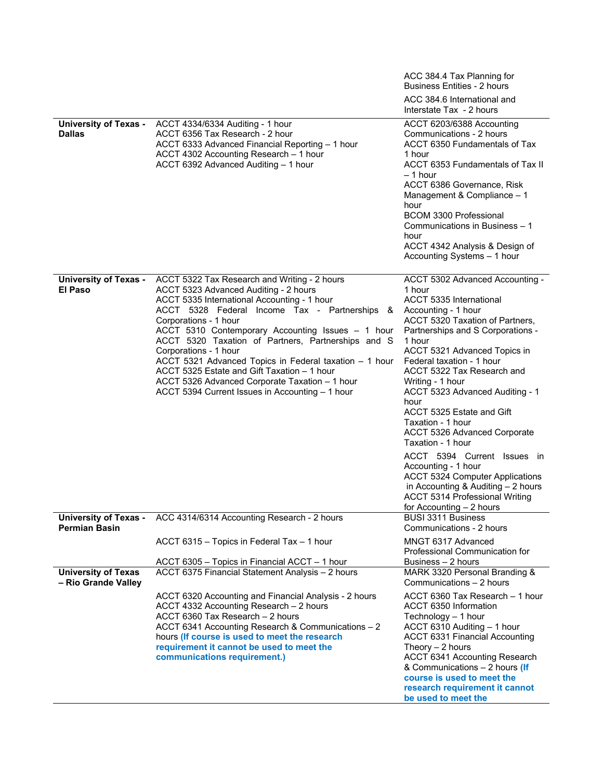|                                                      |                                                                                                                                                                                                                                                                                                                                                                                                                                                                                                                                                                  | ACC 384.4 Tax Planning for<br><b>Business Entities - 2 hours</b>                                                                                                                                                                                                                                                                                                                                                                                                                                                                                                                                                                                           |
|------------------------------------------------------|------------------------------------------------------------------------------------------------------------------------------------------------------------------------------------------------------------------------------------------------------------------------------------------------------------------------------------------------------------------------------------------------------------------------------------------------------------------------------------------------------------------------------------------------------------------|------------------------------------------------------------------------------------------------------------------------------------------------------------------------------------------------------------------------------------------------------------------------------------------------------------------------------------------------------------------------------------------------------------------------------------------------------------------------------------------------------------------------------------------------------------------------------------------------------------------------------------------------------------|
|                                                      |                                                                                                                                                                                                                                                                                                                                                                                                                                                                                                                                                                  | ACC 384.6 International and<br>Interstate Tax - 2 hours                                                                                                                                                                                                                                                                                                                                                                                                                                                                                                                                                                                                    |
| <b>University of Texas -</b><br><b>Dallas</b>        | ACCT 4334/6334 Auditing - 1 hour<br>ACCT 6356 Tax Research - 2 hour<br>ACCT 6333 Advanced Financial Reporting - 1 hour<br>ACCT 4302 Accounting Research - 1 hour<br>ACCT 6392 Advanced Auditing - 1 hour                                                                                                                                                                                                                                                                                                                                                         | ACCT 6203/6388 Accounting<br>Communications - 2 hours<br>ACCT 6350 Fundamentals of Tax<br>1 hour<br>ACCT 6353 Fundamentals of Tax II<br>– 1 hour<br>ACCT 6386 Governance, Risk<br>Management & Compliance - 1<br>hour<br><b>BCOM 3300 Professional</b><br>Communications in Business - 1<br>hour<br>ACCT 4342 Analysis & Design of<br>Accounting Systems - 1 hour                                                                                                                                                                                                                                                                                          |
| <b>University of Texas -</b><br>El Paso              | ACCT 5322 Tax Research and Writing - 2 hours<br>ACCT 5323 Advanced Auditing - 2 hours<br>ACCT 5335 International Accounting - 1 hour<br>ACCT 5328 Federal Income Tax - Partnerships &<br>Corporations - 1 hour<br>ACCT 5310 Contemporary Accounting Issues - 1 hour<br>ACCT 5320 Taxation of Partners, Partnerships and S<br>Corporations - 1 hour<br>ACCT 5321 Advanced Topics in Federal taxation - 1 hour<br>ACCT 5325 Estate and Gift Taxation - 1 hour<br>ACCT 5326 Advanced Corporate Taxation - 1 hour<br>ACCT 5394 Current Issues in Accounting - 1 hour | ACCT 5302 Advanced Accounting -<br>1 hour<br>ACCT 5335 International<br>Accounting - 1 hour<br>ACCT 5320 Taxation of Partners,<br>Partnerships and S Corporations -<br>1 hour<br>ACCT 5321 Advanced Topics in<br>Federal taxation - 1 hour<br>ACCT 5322 Tax Research and<br>Writing - 1 hour<br>ACCT 5323 Advanced Auditing - 1<br>hour<br>ACCT 5325 Estate and Gift<br>Taxation - 1 hour<br>ACCT 5326 Advanced Corporate<br>Taxation - 1 hour<br>ACCT 5394 Current Issues in<br>Accounting - 1 hour<br><b>ACCT 5324 Computer Applications</b><br>in Accounting & Auditing $-2$ hours<br><b>ACCT 5314 Professional Writing</b><br>for Accounting - 2 hours |
| <b>University of Texas -</b><br><b>Permian Basin</b> | ACC 4314/6314 Accounting Research - 2 hours                                                                                                                                                                                                                                                                                                                                                                                                                                                                                                                      | <b>BUSI 3311 Business</b><br>Communications - 2 hours<br>MNGT 6317 Advanced                                                                                                                                                                                                                                                                                                                                                                                                                                                                                                                                                                                |
|                                                      | ACCT 6315 - Topics in Federal Tax - 1 hour<br>ACCT 6305 - Topics in Financial ACCT - 1 hour                                                                                                                                                                                                                                                                                                                                                                                                                                                                      | Professional Communication for<br>Business – 2 hours                                                                                                                                                                                                                                                                                                                                                                                                                                                                                                                                                                                                       |
| <b>University of Texas</b><br>- Rio Grande Valley    | ACCT 6375 Financial Statement Analysis - 2 hours                                                                                                                                                                                                                                                                                                                                                                                                                                                                                                                 | MARK 3320 Personal Branding &<br>Communications - 2 hours                                                                                                                                                                                                                                                                                                                                                                                                                                                                                                                                                                                                  |
|                                                      | ACCT 6320 Accounting and Financial Analysis - 2 hours<br>ACCT 4332 Accounting Research - 2 hours<br>ACCT 6360 Tax Research - 2 hours<br>ACCT 6341 Accounting Research & Communications - 2<br>hours (If course is used to meet the research<br>requirement it cannot be used to meet the<br>communications requirement.)                                                                                                                                                                                                                                         | ACCT 6360 Tax Research - 1 hour<br>ACCT 6350 Information<br>Technology - 1 hour<br>ACCT 6310 Auditing - 1 hour<br><b>ACCT 6331 Financial Accounting</b><br>Theory $-2$ hours<br>ACCT 6341 Accounting Research<br>& Communications - 2 hours (If<br>course is used to meet the<br>research requirement it cannot<br>be used to meet the                                                                                                                                                                                                                                                                                                                     |